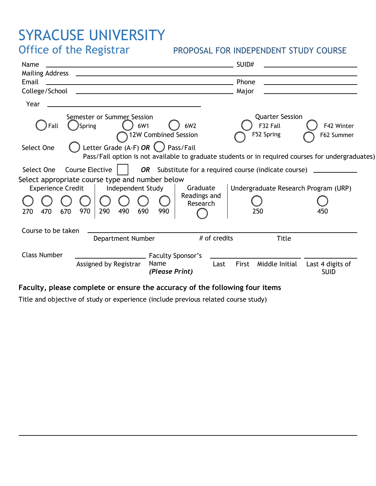## SYRACUSE UNIVERSITY<br>Office of the Registrar

## PROPOSAL FOR INDEPENDENT STUDY COURSE

| Name<br>Email                                                                                                                                                   | SUID#<br>Phone                                                               |  |  |  |
|-----------------------------------------------------------------------------------------------------------------------------------------------------------------|------------------------------------------------------------------------------|--|--|--|
|                                                                                                                                                                 | Major<br><u> 1989 - Johann Barbara, martin a</u>                             |  |  |  |
| Year                                                                                                                                                            |                                                                              |  |  |  |
| Semester or Summer Session<br>6W1<br>6W2<br>Spring<br>Fall<br>12W Combined Session                                                                              | <b>Quarter Session</b><br>F32 Fall<br>F42 Winter<br>F52 Spring<br>F62 Summer |  |  |  |
| Letter Grade (A-F) OR $\bigcup$<br>Pass/Fail<br>Select One<br>Pass/Fail option is not available to graduate students or in required courses for undergraduates) |                                                                              |  |  |  |
| Course Elective  <br><b>OR</b> Substitute for a required course (indicate course)<br>Select One                                                                 |                                                                              |  |  |  |
| Select appropriate course type and number below<br>Graduate<br><b>Experience Credit</b><br>Independent Study                                                    | Undergraduate Research Program (URP)                                         |  |  |  |
| Readings and<br>Research<br>290<br>490<br>690<br>970<br>470<br>670<br>990<br>270                                                                                | 250<br>450                                                                   |  |  |  |
| Course to be taken<br># of credits<br>Department Number                                                                                                         | <b>Title</b>                                                                 |  |  |  |
| <b>Class Number</b><br><b>Faculty Sponsor's</b><br>Assigned by Registrar<br>Name<br>Last<br>(Please Print)                                                      | Middle Initial<br>Last 4 digits of<br>First<br><b>SUID</b>                   |  |  |  |

## Faculty, please complete or ensure the accuracy of the following four items

Title and objective of study or experience (include previous related course study)